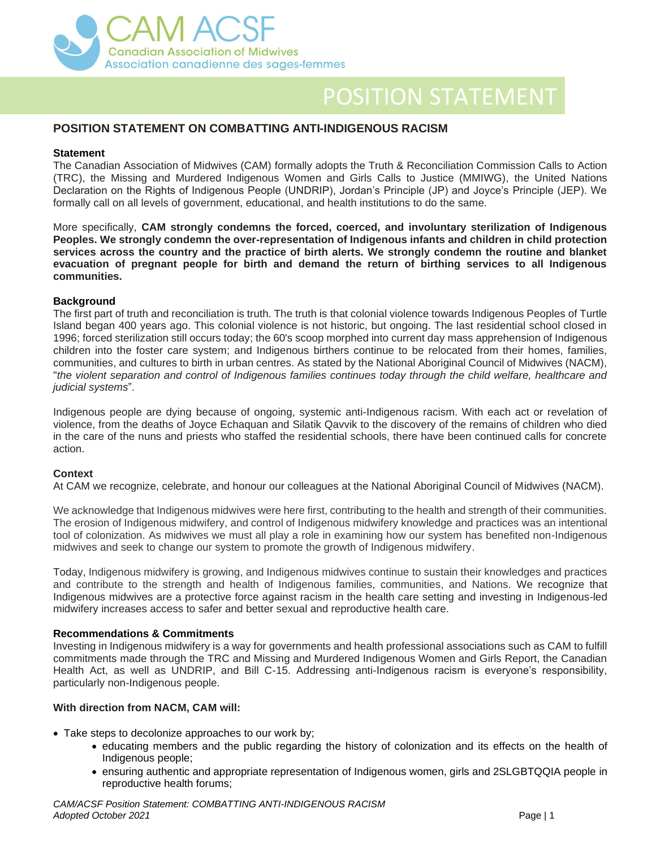

# POSITION STATEMENT

# **POSITION STATEMENT ON COMBATTING ANTI-INDIGENOUS RACISM**

#### **Statement**

The Canadian Association of Midwives (CAM) formally adopts the Truth & Reconciliation Commission Calls to Action (TRC), the Missing and Murdered Indigenous Women and Girls Calls to Justice (MMIWG), the United Nations Declaration on the Rights of Indigenous People (UNDRIP), Jordan's Principle (JP) and Joyce's Principle (JEP). We formally call on all levels of government, educational, and health institutions to do the same.

More specifically, **CAM strongly condemns the forced, coerced, and involuntary sterilization of Indigenous Peoples. We strongly condemn the over-representation of Indigenous infants and children in child protection services across the country and the practice of birth alerts. We strongly condemn the routine and blanket evacuation of pregnant people for birth and demand the return of birthing services to all Indigenous communities.**

# **Background**

The first part of truth and reconciliation is truth. The truth is that colonial violence towards Indigenous Peoples of Turtle Island began 400 years ago. This colonial violence is not historic, but ongoing. The last residential school closed in 1996; forced sterilization still occurs today; the 60's scoop morphed into current day mass apprehension of Indigenous children into the foster care system; and Indigenous birthers continue to be relocated from their homes, families, communities, and cultures to birth in urban centres. As stated by the National Aboriginal Council of Midwives (NACM), "*the violent separation and control of Indigenous families continues today through the child welfare, healthcare and judicial systems*".

Indigenous people are dying because of ongoing, systemic anti-Indigenous racism. With each act or revelation of violence, from the deaths of Joyce Echaquan and Silatik Qavvik to the discovery of the remains of children who died in the care of the nuns and priests who staffed the residential schools, there have been continued calls for concrete action.

# **Context**

At CAM we recognize, celebrate, and honour our colleagues at the National Aboriginal Council of Midwives (NACM).

We acknowledge that Indigenous midwives were here first, contributing to the health and strength of their communities. The erosion of Indigenous midwifery, and control of Indigenous midwifery knowledge and practices was an intentional tool of colonization. As midwives we must all play a role in examining how our system has benefited non-Indigenous midwives and seek to change our system to promote the growth of Indigenous midwifery.

Today, Indigenous midwifery is growing, and Indigenous midwives continue to sustain their knowledges and practices and contribute to the strength and health of Indigenous families, communities, and Nations. We recognize that Indigenous midwives are a protective force against racism in the health care setting and investing in Indigenous-led midwifery increases access to safer and better sexual and reproductive health care.

#### **Recommendations & Commitments**

Investing in Indigenous midwifery is a way for governments and health professional associations such as CAM to fulfill commitments made through the TRC and Missing and Murdered Indigenous Women and Girls Report, the Canadian Health Act, as well as UNDRIP, and Bill C-15. Addressing anti-Indigenous racism is everyone's responsibility, particularly non-Indigenous people.

# **With direction from NACM, CAM will:**

- Take steps to decolonize approaches to our work by;
	- educating members and the public regarding the history of colonization and its effects on the health of Indigenous people;
	- ensuring authentic and appropriate representation of Indigenous women, girls and 2SLGBTQQIA people in reproductive health forums;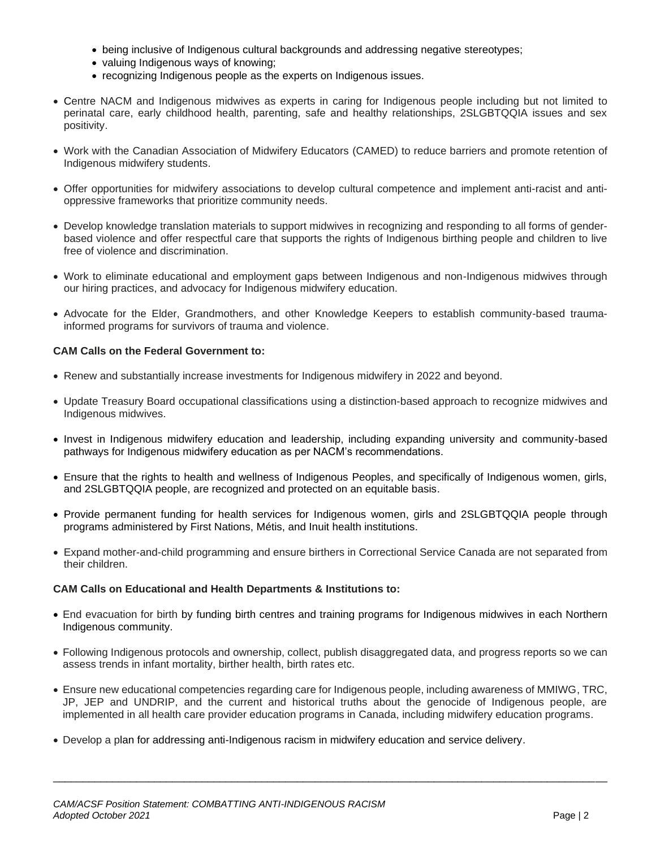- being inclusive of Indigenous cultural backgrounds and addressing negative stereotypes;
- valuing Indigenous ways of knowing;
- recognizing Indigenous people as the experts on Indigenous issues.
- Centre NACM and Indigenous midwives as experts in caring for Indigenous people including but not limited to perinatal care, early childhood health, parenting, safe and healthy relationships, 2SLGBTQQIA issues and sex positivity.
- Work with the Canadian Association of Midwifery Educators (CAMED) to reduce barriers and promote retention of Indigenous midwifery students.
- Offer opportunities for midwifery associations to develop cultural competence and implement anti-racist and antioppressive frameworks that prioritize community needs.
- Develop knowledge translation materials to support midwives in recognizing and responding to all forms of genderbased violence and offer respectful care that supports the rights of Indigenous birthing people and children to live free of violence and discrimination.
- Work to eliminate educational and employment gaps between Indigenous and non-Indigenous midwives through our hiring practices, and advocacy for Indigenous midwifery education.
- Advocate for the Elder, Grandmothers, and other Knowledge Keepers to establish community-based traumainformed programs for survivors of trauma and violence.

# **CAM Calls on the Federal Government to:**

- Renew and substantially increase investments for Indigenous midwifery in 2022 and beyond.
- Update Treasury Board occupational classifications using a distinction-based approach to recognize midwives and Indigenous midwives.
- Invest in Indigenous midwifery education and leadership, including expanding university and community-based pathways for Indigenous midwifery education as per NACM's recommendations.
- Ensure that the rights to health and wellness of Indigenous Peoples, and specifically of Indigenous women, girls, and 2SLGBTQQIA people, are recognized and protected on an equitable basis.
- Provide permanent funding for health services for Indigenous women, girls and 2SLGBTQQIA people through programs administered by First Nations, Métis, and Inuit health institutions.
- Expand mother-and-child programming and ensure birthers in Correctional Service Canada are not separated from their children.

# **CAM Calls on Educational and Health Departments & Institutions to:**

- End evacuation for birth by funding birth centres and training programs for Indigenous midwives in each Northern Indigenous community.
- Following Indigenous protocols and ownership, collect, publish disaggregated data, and progress reports so we can assess trends in infant mortality, birther health, birth rates etc.
- Ensure new educational competencies regarding care for Indigenous people, including awareness of MMIWG, TRC, JP, JEP and UNDRIP, and the current and historical truths about the genocide of Indigenous people, are implemented in all health care provider education programs in Canada, including midwifery education programs.

\_\_\_\_\_\_\_\_\_\_\_\_\_\_\_\_\_\_\_\_\_\_\_\_\_\_\_\_\_\_\_\_\_\_\_\_\_\_\_\_\_\_\_\_\_\_\_\_\_\_\_\_\_\_\_\_\_\_\_\_\_\_\_\_\_\_\_\_\_\_\_\_\_\_\_\_\_\_\_\_\_\_\_\_\_\_\_\_\_\_\_\_\_

• Develop a plan for addressing anti-Indigenous racism in midwifery education and service delivery.